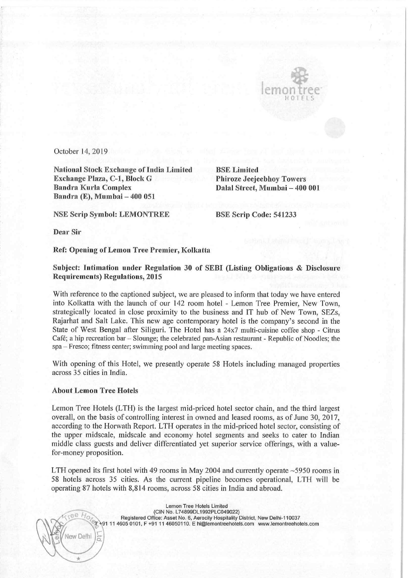

October 14, 2019

National Stock Exchange of India Limited BSE Limited Exchange Plaza, C-1, Block G<br>Bandra Kurla Complex Bandra Kurla Complex Dalal Street, Mumbai — 400 001 Bandra (E), Mumbai — 400 051

Phiroze Jeejeebhoy Towers

NSE Scrip Symbol: LEMONTREE BSE Scrip Code: 541233

Dear Sir

Ref: Opening of Lemon Tree Premier, Kolkatta

Subject: lntimation under Regulation <sup>30</sup> of SEBI (Listing Obligations & Disclosure Requirements) Regulations, 2015

With reference to the captioned subject, we are pleased to inform that today we have entered into Kolkatta With the launch of our 142 room hotel - Lemon Tree Premier, New Town, strategically located in close proximity to the business and IT hub of New Town, SEZs, Rajarhat and Salt Lake. This new age contemporary hotel is the company's second in the State of West Bengal after Siliguri. The Hotel has a 24x7 multi-cuisine coffee shop - Citrus Café; a hip recreation bar - Slounge; the celebrated pan-Asian restaurant - Republic of Noodles; the spa 7 Fresco; fitness center; swimming pool and large meeting spaces.

With opening of this Hotel, we presently operate <sup>58</sup> Hotels including managed properties across 35 cities in India.

## About Lemon Tree Hotels

\

Ξ

New Delhi )

1

/1 ,( ni (l

Lemon Tree Hotels (LTH) is the largest mid-priced hotel sector chain, and the third largest overall, on the basis of controlling interest in owned and leased rooms, as of June 30, 2017, according to the Horwath Report. LTH operates in the mid-priced hotel sector, consisting of the upper midscale, midscale and economy hotel segments and seeks to cater to Indian middle class guests and deliver differentiated yet superior service offerings, with <sup>a</sup> valuefor—money proposition.

LTH opened its first hotel with 49 rooms in May 2004 and currently operate ~5950 rooms in <sup>58</sup> hotels across <sup>35</sup> cities. As the current pipeline becomes operational, LTH will be operating 87 hotels with 8,814 rooms, across 58 cities in Lndia and abroad.

> Lemon Tree Holels Limited (CIN No. L74899DL1992PLC049022) Registered Office: Asset No. 6, Aerocity Hospitality District, New Delhi-110037 +91 11 4605 0101, F +91 11 46050110. E hi@lemontreehotels.com www.lemontreehotels.com